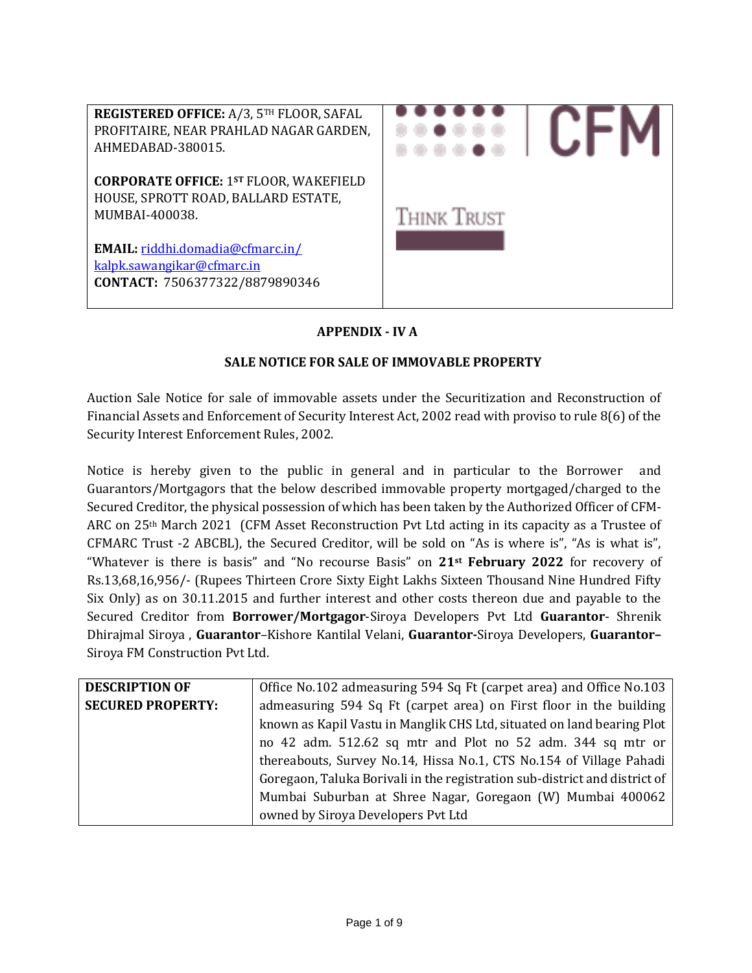

# **APPENDIX - IV A**

### **SALE NOTICE FOR SALE OF IMMOVABLE PROPERTY**

Auction Sale Notice for sale of immovable assets under the Securitization and Reconstruction of Financial Assets and Enforcement of Security Interest Act, 2002 read with proviso to rule 8(6) of the Security Interest Enforcement Rules, 2002.

Notice is hereby given to the public in general and in particular to the Borrower and Guarantors/Mortgagors that the below described immovable property mortgaged/charged to the Secured Creditor, the physical possession of which has been taken by the Authorized Officer of CFM-ARC on 25th March 2021 (CFM Asset Reconstruction Pvt Ltd acting in its capacity as a Trustee of CFMARC Trust -2 ABCBL), the Secured Creditor, will be sold on "As is where is", "As is what is", "Whatever is there is basis" and "No recourse Basis" on **21st February 2022** for recovery of Rs.13,68,16,956/- (Rupees Thirteen Crore Sixty Eight Lakhs Sixteen Thousand Nine Hundred Fifty Six Only) as on 30.11.2015 and further interest and other costs thereon due and payable to the Secured Creditor from **Borrower/Mortgagor**-Siroya Developers Pvt Ltd **Guarantor**- Shrenik Dhirajmal Siroya , **Guarantor**–Kishore Kantilal Velani, **Guarantor-**Siroya Developers, **Guarantor–** Siroya FM Construction Pvt Ltd.

| <b>DESCRIPTION OF</b>    | Office No.102 admeasuring 594 Sq Ft (carpet area) and Office No.103        |
|--------------------------|----------------------------------------------------------------------------|
| <b>SECURED PROPERTY:</b> | admeasuring 594 Sq Ft (carpet area) on First floor in the building         |
|                          | known as Kapil Vastu in Manglik CHS Ltd, situated on land bearing Plot     |
|                          | no 42 adm. 512.62 sq mtr and Plot no 52 adm. 344 sq mtr or                 |
|                          | thereabouts, Survey No.14, Hissa No.1, CTS No.154 of Village Pahadi        |
|                          | Goregaon, Taluka Borivali in the registration sub-district and district of |
|                          | Mumbai Suburban at Shree Nagar, Goregaon (W) Mumbai 400062                 |
|                          | owned by Siroya Developers Pvt Ltd                                         |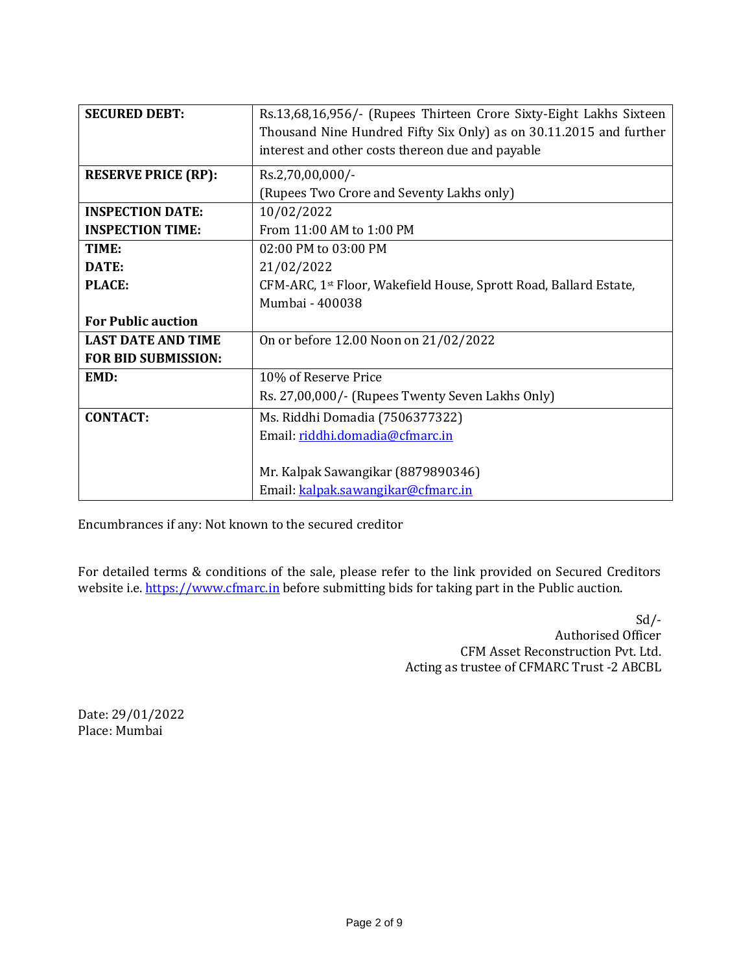| <b>SECURED DEBT:</b>       | Rs.13,68,16,956/- (Rupees Thirteen Crore Sixty-Eight Lakhs Sixteen            |
|----------------------------|-------------------------------------------------------------------------------|
|                            | Thousand Nine Hundred Fifty Six Only) as on 30.11.2015 and further            |
|                            | interest and other costs thereon due and payable                              |
|                            |                                                                               |
| <b>RESERVE PRICE (RP):</b> | Rs.2,70,00,000/-                                                              |
|                            | (Rupees Two Crore and Seventy Lakhs only)                                     |
| <b>INSPECTION DATE:</b>    | 10/02/2022                                                                    |
| <b>INSPECTION TIME:</b>    | From 11:00 AM to 1:00 PM                                                      |
| TIME:                      | $02:00$ PM to $03:00$ PM                                                      |
| DATE:                      | 21/02/2022                                                                    |
| <b>PLACE:</b>              | CFM-ARC, 1 <sup>st</sup> Floor, Wakefield House, Sprott Road, Ballard Estate, |
|                            | Mumbai - 400038                                                               |
| <b>For Public auction</b>  |                                                                               |
| <b>LAST DATE AND TIME</b>  | On or before 12.00 Noon on 21/02/2022                                         |
| <b>FOR BID SUBMISSION:</b> |                                                                               |
| EMD:                       | 10% of Reserve Price                                                          |
|                            | Rs. 27,00,000/- (Rupees Twenty Seven Lakhs Only)                              |
| <b>CONTACT:</b>            | Ms. Riddhi Domadia (7506377322)                                               |
|                            | Email: riddhi.domadia@cfmarc.in                                               |
|                            |                                                                               |
|                            | Mr. Kalpak Sawangikar (8879890346)                                            |
|                            | Email: kalpak.sawangikar@cfmarc.in                                            |

Encumbrances if any: Not known to the secured creditor

For detailed terms & conditions of the sale, please refer to the link provided on Secured Creditors website i.e[. https://www.cfmarc.in](https://www.cfmarc.in/) before submitting bids for taking part in the Public auction.

> Sd/- Authorised Officer CFM Asset Reconstruction Pvt. Ltd. Acting as trustee of CFMARC Trust -2 ABCBL

Date: 29/01/2022 Place: Mumbai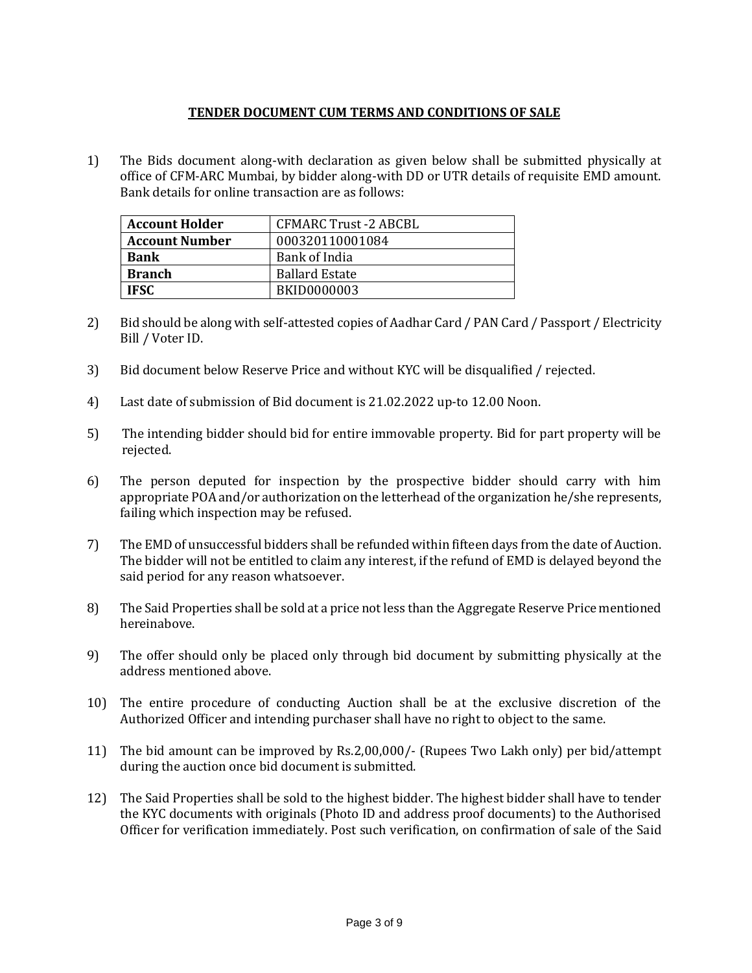### **TENDER DOCUMENT CUM TERMS AND CONDITIONS OF SALE**

1) The Bids document along-with declaration as given below shall be submitted physically at office of CFM-ARC Mumbai, by bidder along-with DD or UTR details of requisite EMD amount. Bank details for online transaction are as follows:

| <b>Account Holder</b> | CFMARC Trust -2 ABCBL |
|-----------------------|-----------------------|
| <b>Account Number</b> | 000320110001084       |
| <b>Bank</b>           | Bank of India         |
| <b>Branch</b>         | <b>Ballard Estate</b> |
| <b>IFSC</b>           | <b>BKID0000003</b>    |

- 2) Bid should be along with self-attested copies of Aadhar Card / PAN Card / Passport / Electricity Bill / Voter ID.
- 3) Bid document below Reserve Price and without KYC will be disqualified / rejected.
- 4) Last date of submission of Bid document is 21.02.2022 up-to 12.00 Noon.
- 5) The intending bidder should bid for entire immovable property. Bid for part property will be rejected.
- 6) The person deputed for inspection by the prospective bidder should carry with him appropriate POA and/or authorization on the letterhead of the organization he/she represents, failing which inspection may be refused.
- 7) The EMD of unsuccessful bidders shall be refunded within fifteen days from the date of Auction. The bidder will not be entitled to claim any interest, if the refund of EMD is delayed beyond the said period for any reason whatsoever.
- 8) The Said Properties shall be sold at a price not less than the Aggregate Reserve Price mentioned hereinabove.
- 9) The offer should only be placed only through bid document by submitting physically at the address mentioned above.
- 10) The entire procedure of conducting Auction shall be at the exclusive discretion of the Authorized Officer and intending purchaser shall have no right to object to the same.
- 11) The bid amount can be improved by Rs.2,00,000/- (Rupees Two Lakh only) per bid/attempt during the auction once bid document is submitted.
- 12) The Said Properties shall be sold to the highest bidder. The highest bidder shall have to tender the KYC documents with originals (Photo ID and address proof documents) to the Authorised Officer for verification immediately. Post such verification, on confirmation of sale of the Said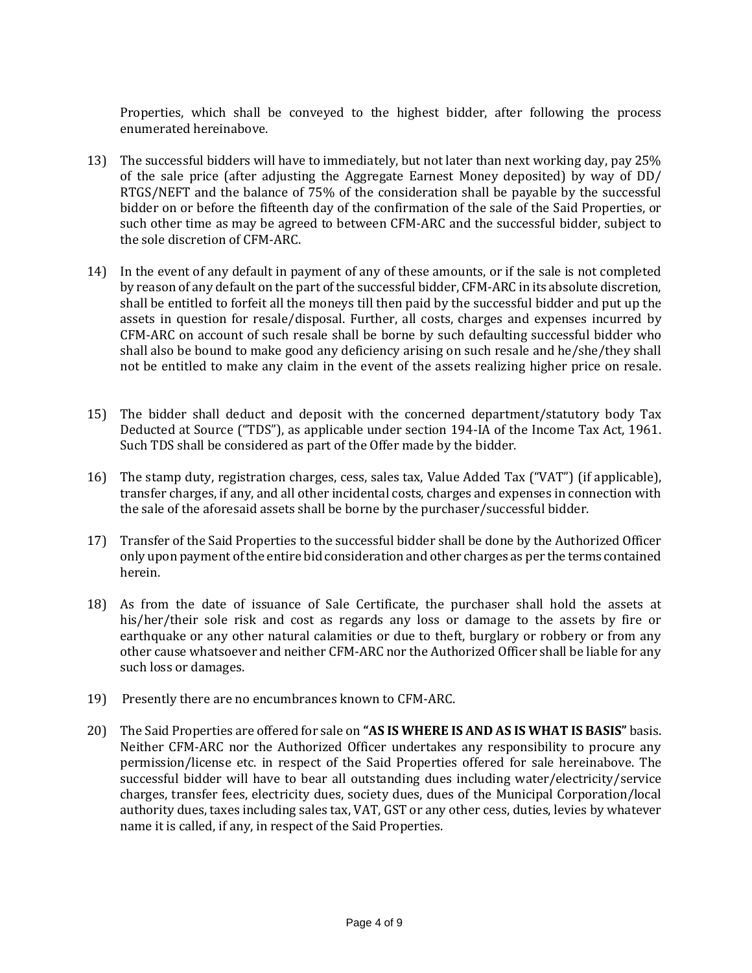Properties, which shall be conveyed to the highest bidder, after following the process enumerated hereinabove.

- 13) The successful bidders will have to immediately, but not later than next working day, pay 25% of the sale price (after adjusting the Aggregate Earnest Money deposited) by way of DD/ RTGS/NEFT and the balance of 75% of the consideration shall be payable by the successful bidder on or before the fifteenth day of the confirmation of the sale of the Said Properties, or such other time as may be agreed to between CFM-ARC and the successful bidder, subject to the sole discretion of CFM-ARC.
- 14) In the event of any default in payment of any of these amounts, or if the sale is not completed by reason of any default on the part of the successful bidder, CFM-ARC in its absolute discretion, shall be entitled to forfeit all the moneys till then paid by the successful bidder and put up the assets in question for resale/disposal. Further, all costs, charges and expenses incurred by CFM-ARC on account of such resale shall be borne by such defaulting successful bidder who shall also be bound to make good any deficiency arising on such resale and he/she/they shall not be entitled to make any claim in the event of the assets realizing higher price on resale.
- 15) The bidder shall deduct and deposit with the concerned department/statutory body Tax Deducted at Source ("TDS"), as applicable under section 194-IA of the Income Tax Act, 1961. Such TDS shall be considered as part of the Offer made by the bidder.
- 16) The stamp duty, registration charges, cess, sales tax, Value Added Tax ("VAT") (if applicable), transfer charges, if any, and all other incidental costs, charges and expenses in connection with the sale of the aforesaid assets shall be borne by the purchaser/successful bidder.
- 17) Transfer of the Said Properties to the successful bidder shall be done by the Authorized Officer only upon payment of the entire bid consideration and other charges as per the terms contained herein.
- 18) As from the date of issuance of Sale Certificate, the purchaser shall hold the assets at his/her/their sole risk and cost as regards any loss or damage to the assets by fire or earthquake or any other natural calamities or due to theft, burglary or robbery or from any other cause whatsoever and neither CFM-ARC nor the Authorized Officer shall be liable for any such loss or damages.
- 19) Presently there are no encumbrances known to CFM-ARC.
- 20) The Said Properties are offered for sale on **"AS IS WHERE IS AND AS IS WHAT IS BASIS"** basis. Neither CFM-ARC nor the Authorized Officer undertakes any responsibility to procure any permission/license etc. in respect of the Said Properties offered for sale hereinabove. The successful bidder will have to bear all outstanding dues including water/electricity/service charges, transfer fees, electricity dues, society dues, dues of the Municipal Corporation/local authority dues, taxes including sales tax, VAT, GST or any other cess, duties, levies by whatever name it is called, if any, in respect of the Said Properties.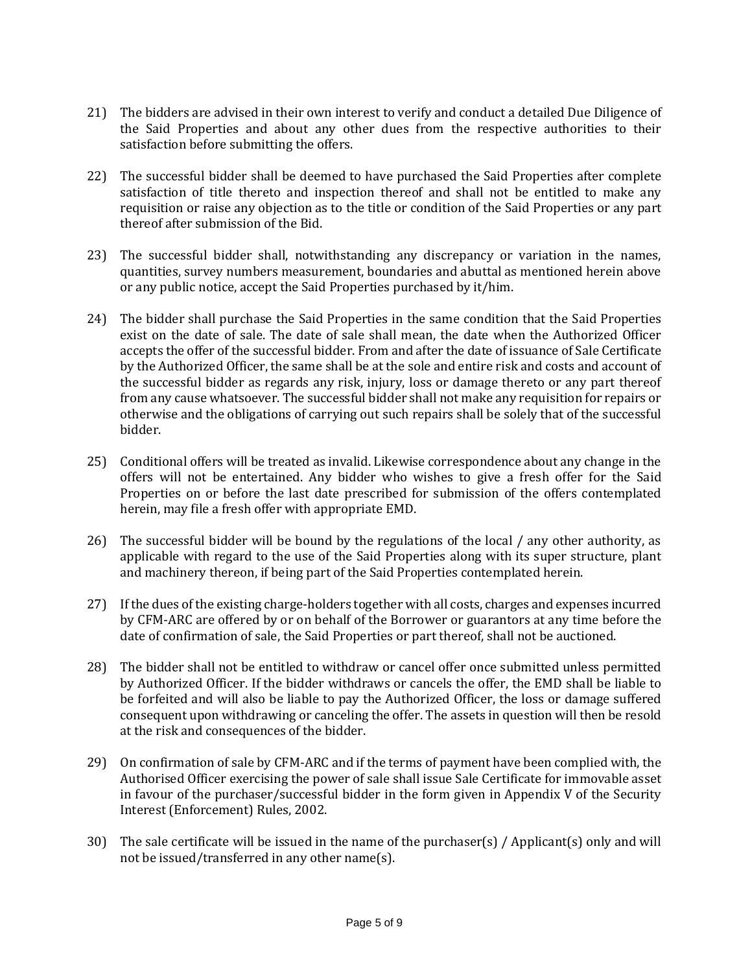- 21) The bidders are advised in their own interest to verify and conduct a detailed Due Diligence of the Said Properties and about any other dues from the respective authorities to their satisfaction before submitting the offers.
- 22) The successful bidder shall be deemed to have purchased the Said Properties after complete satisfaction of title thereto and inspection thereof and shall not be entitled to make any requisition or raise any objection as to the title or condition of the Said Properties or any part thereof after submission of the Bid.
- 23) The successful bidder shall, notwithstanding any discrepancy or variation in the names, quantities, survey numbers measurement, boundaries and abuttal as mentioned herein above or any public notice, accept the Said Properties purchased by it/him.
- 24) The bidder shall purchase the Said Properties in the same condition that the Said Properties exist on the date of sale. The date of sale shall mean, the date when the Authorized Officer accepts the offer of the successful bidder. From and after the date of issuance of Sale Certificate by the Authorized Officer, the same shall be at the sole and entire risk and costs and account of the successful bidder as regards any risk, injury, loss or damage thereto or any part thereof from any cause whatsoever. The successful bidder shall not make any requisition for repairs or otherwise and the obligations of carrying out such repairs shall be solely that of the successful bidder.
- 25) Conditional offers will be treated as invalid. Likewise correspondence about any change in the offers will not be entertained. Any bidder who wishes to give a fresh offer for the Said Properties on or before the last date prescribed for submission of the offers contemplated herein, may file a fresh offer with appropriate EMD.
- 26) The successful bidder will be bound by the regulations of the local / any other authority, as applicable with regard to the use of the Said Properties along with its super structure, plant and machinery thereon, if being part of the Said Properties contemplated herein.
- 27) If the dues of the existing charge-holders together with all costs, charges and expenses incurred by CFM-ARC are offered by or on behalf of the Borrower or guarantors at any time before the date of confirmation of sale, the Said Properties or part thereof, shall not be auctioned.
- 28) The bidder shall not be entitled to withdraw or cancel offer once submitted unless permitted by Authorized Officer. If the bidder withdraws or cancels the offer, the EMD shall be liable to be forfeited and will also be liable to pay the Authorized Officer, the loss or damage suffered consequent upon withdrawing or canceling the offer. The assets in question will then be resold at the risk and consequences of the bidder.
- 29) On confirmation of sale by CFM-ARC and if the terms of payment have been complied with, the Authorised Officer exercising the power of sale shall issue Sale Certificate for immovable asset in favour of the purchaser/successful bidder in the form given in Appendix V of the Security Interest (Enforcement) Rules, 2002.
- 30) The sale certificate will be issued in the name of the purchaser(s) / Applicant(s) only and will not be issued/transferred in any other name(s).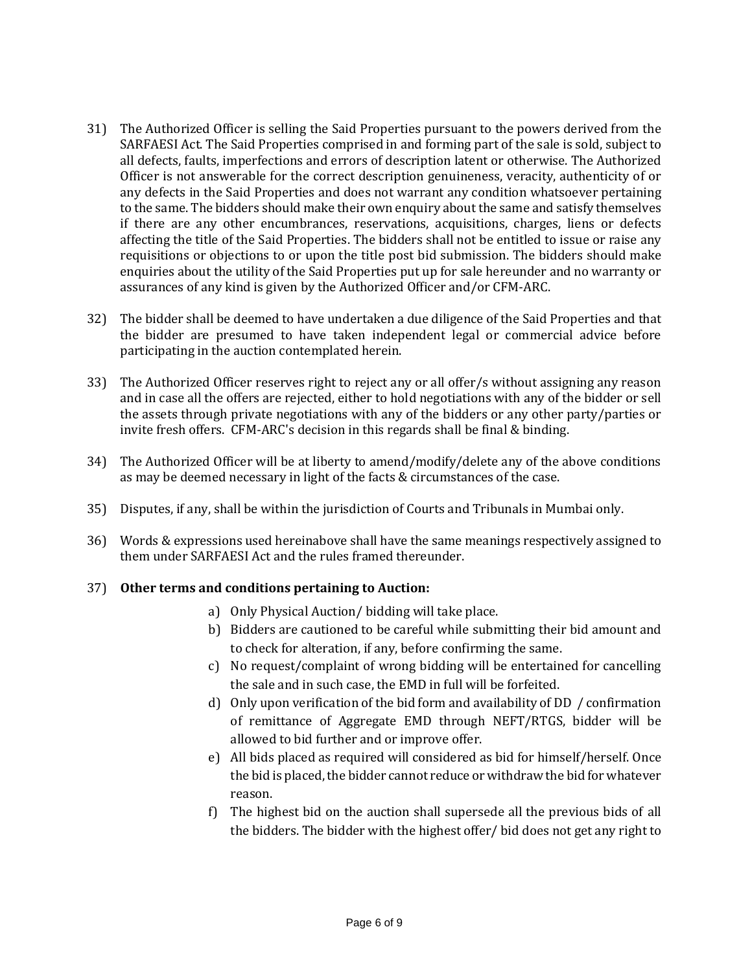- 31) The Authorized Officer is selling the Said Properties pursuant to the powers derived from the SARFAESI Act. The Said Properties comprised in and forming part of the sale is sold, subject to all defects, faults, imperfections and errors of description latent or otherwise. The Authorized Officer is not answerable for the correct description genuineness, veracity, authenticity of or any defects in the Said Properties and does not warrant any condition whatsoever pertaining to the same. The bidders should make their own enquiry about the same and satisfy themselves if there are any other encumbrances, reservations, acquisitions, charges, liens or defects affecting the title of the Said Properties. The bidders shall not be entitled to issue or raise any requisitions or objections to or upon the title post bid submission. The bidders should make enquiries about the utility of the Said Properties put up for sale hereunder and no warranty or assurances of any kind is given by the Authorized Officer and/or CFM-ARC.
- 32) The bidder shall be deemed to have undertaken a due diligence of the Said Properties and that the bidder are presumed to have taken independent legal or commercial advice before participating in the auction contemplated herein.
- 33) The Authorized Officer reserves right to reject any or all offer/s without assigning any reason and in case all the offers are rejected, either to hold negotiations with any of the bidder or sell the assets through private negotiations with any of the bidders or any other party/parties or invite fresh offers. CFM-ARC's decision in this regards shall be final & binding.
- 34) The Authorized Officer will be at liberty to amend/modify/delete any of the above conditions as may be deemed necessary in light of the facts & circumstances of the case.
- 35) Disputes, if any, shall be within the jurisdiction of Courts and Tribunals in Mumbai only.
- 36) Words & expressions used hereinabove shall have the same meanings respectively assigned to them under SARFAESI Act and the rules framed thereunder.

#### 37) **Other terms and conditions pertaining to Auction:**

- a) Only Physical Auction/ bidding will take place.
- b) Bidders are cautioned to be careful while submitting their bid amount and to check for alteration, if any, before confirming the same.
- c) No request/complaint of wrong bidding will be entertained for cancelling the sale and in such case, the EMD in full will be forfeited.
- d) Only upon verification of the bid form and availability of DD / confirmation of remittance of Aggregate EMD through NEFT/RTGS, bidder will be allowed to bid further and or improve offer.
- e) All bids placed as required will considered as bid for himself/herself. Once the bid is placed, the bidder cannot reduce or withdraw the bid for whatever reason.
- f) The highest bid on the auction shall supersede all the previous bids of all the bidders. The bidder with the highest offer/ bid does not get any right to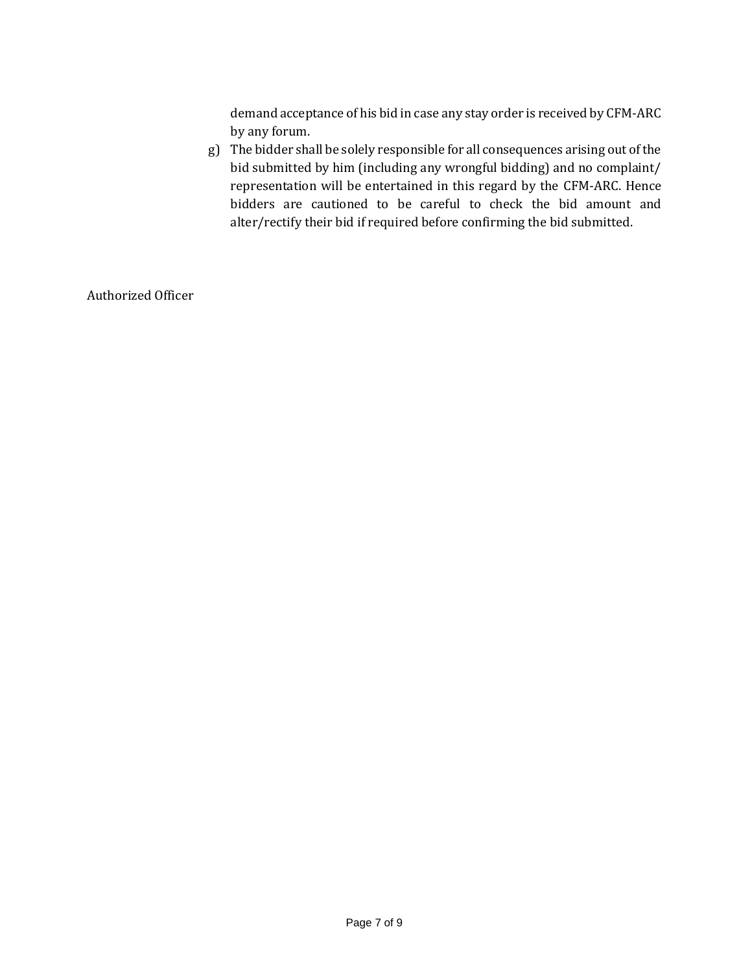demand acceptance of his bid in case any stay order is received by CFM-ARC by any forum.

g) The bidder shall be solely responsible for all consequences arising out of the bid submitted by him (including any wrongful bidding) and no complaint/ representation will be entertained in this regard by the CFM-ARC. Hence bidders are cautioned to be careful to check the bid amount and alter/rectify their bid if required before confirming the bid submitted.

Authorized Officer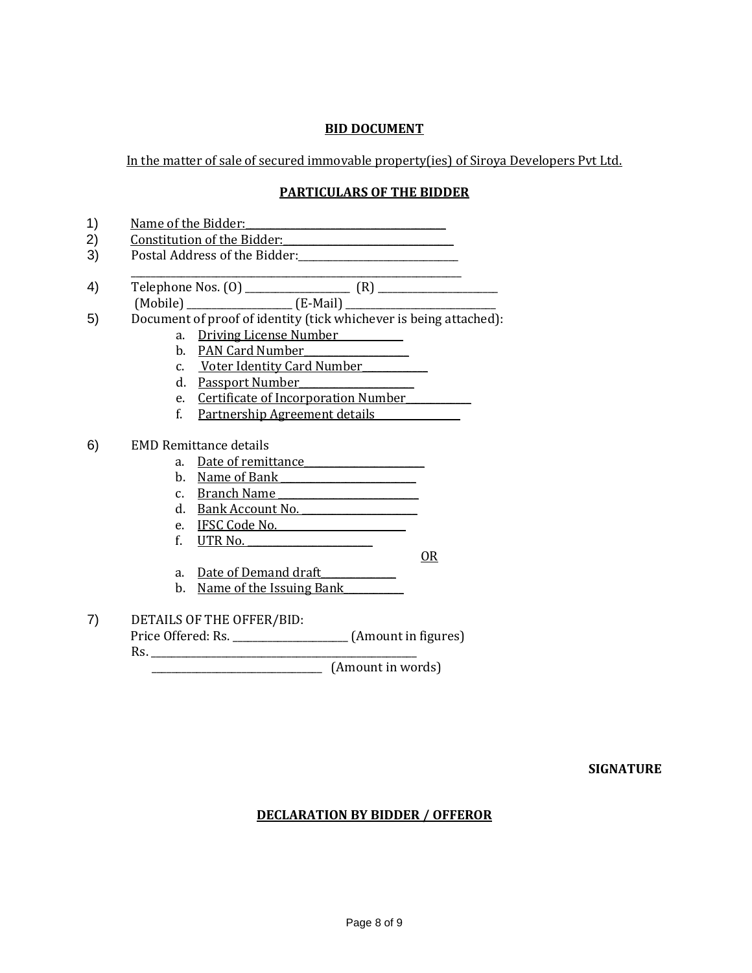### **BID DOCUMENT**

In the matter of sale of secured immovable property(ies) of Siroya Developers Pvt Ltd.

# **PARTICULARS OF THE BIDDER**

|             | Constitution of the Bidder: National Assembly Constitution of the Bidder: |  |
|-------------|---------------------------------------------------------------------------|--|
|             |                                                                           |  |
|             |                                                                           |  |
|             |                                                                           |  |
|             | Document of proof of identity (tick whichever is being attached):         |  |
|             | a. Driving License Number                                                 |  |
|             | b. PAN Card Number                                                        |  |
|             | c. Voter Identity Card Number                                             |  |
|             | d. Passport Number                                                        |  |
|             | e. Certificate of Incorporation Number                                    |  |
| $f_{\cdot}$ | <u>Partnership Agreement details</u>                                      |  |
|             |                                                                           |  |
|             |                                                                           |  |
|             | <b>EMD Remittance details</b>                                             |  |
| a.          | Date of remittance                                                        |  |
| b.          | Name of Bank Name of Bank                                                 |  |
|             |                                                                           |  |
| d.          | c. Branch Name<br>Bank Account No.                                        |  |
|             |                                                                           |  |
| f.          | e. IFSC Code No.<br>UTR No.                                               |  |
|             | $OR$                                                                      |  |
| a.          |                                                                           |  |
| b.          | Date of Demand draft                                                      |  |
|             | <u>Name of the Issuing Bank</u>                                           |  |
|             | DETAILS OF THE OFFER/BID:                                                 |  |

Rs. \_\_\_\_\_\_\_\_\_\_\_\_\_\_\_\_\_\_\_\_\_\_\_\_\_\_\_\_\_\_\_\_\_\_\_\_\_\_\_\_\_\_\_\_\_\_\_\_\_\_\_\_\_

\_\_\_\_\_\_\_\_\_\_\_\_\_\_\_\_\_\_\_\_\_\_\_\_\_\_\_\_\_\_\_\_\_\_ (Amount in words)

### **SIGNATURE**

# **DECLARATION BY BIDDER / OFFEROR**